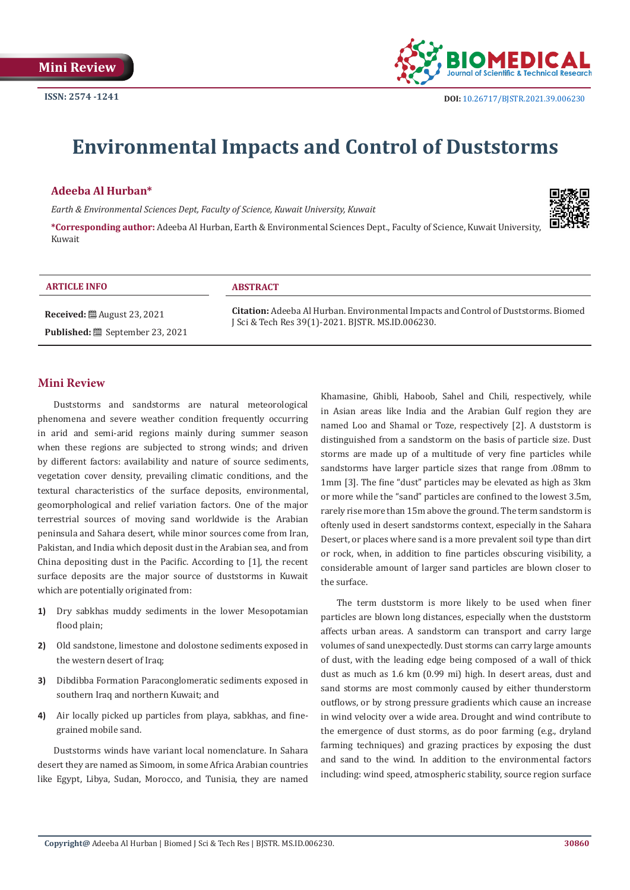

# **Environmental Impacts and Control of Duststorms**

# **Adeeba Al Hurban\***

*Earth & Environmental Sciences Dept, Faculty of Science, Kuwait University, Kuwait*

**\*Corresponding author:** Adeeba Al Hurban, Earth & Environmental Sciences Dept., Faculty of Science, Kuwait University, Kuwait



#### **ARTICLE INFO ABSTRACT**

**Received:** August 23, 2021 **Published:** September 23, 2021

**Citation:** Adeeba Al Hurban. Environmental Impacts and Control of Duststorms. Biomed J Sci & Tech Res 39(1)-2021. BJSTR. MS.ID.006230.

### **Mini Review**

Duststorms and sandstorms are natural meteorological phenomena and severe weather condition frequently occurring in arid and semi-arid regions mainly during summer season when these regions are subjected to strong winds; and driven by different factors: availability and nature of source sediments, vegetation cover density, prevailing climatic conditions, and the textural characteristics of the surface deposits, environmental, geomorphological and relief variation factors. One of the major terrestrial sources of moving sand worldwide is the Arabian peninsula and Sahara desert, while minor sources come from Iran, Pakistan, and India which deposit dust in the Arabian sea, and from China depositing dust in the Pacific. According to [1], the recent surface deposits are the major source of duststorms in Kuwait which are potentially originated from:

- **1)** Dry sabkhas muddy sediments in the lower Mesopotamian flood plain;
- **2)** Old sandstone, limestone and dolostone sediments exposed in the western desert of Iraq;
- **3)** Dibdibba Formation Paraconglomeratic sediments exposed in southern Iraq and northern Kuwait; and
- **4)** Air locally picked up particles from playa, sabkhas, and finegrained mobile sand.

Duststorms winds have variant local nomenclature. In Sahara desert they are named as Simoom, in some Africa Arabian countries like Egypt, Libya, Sudan, Morocco, and Tunisia, they are named Khamasine, Ghibli, Haboob, Sahel and Chili, respectively, while in Asian areas like India and the Arabian Gulf region they are named Loo and Shamal or Toze, respectively [2]. A duststorm is distinguished from a sandstorm on the basis of particle size. Dust storms are made up of a multitude of very fine particles while sandstorms have larger particle sizes that range from .08mm to 1mm [3]. The fine "dust" particles may be elevated as high as 3km or more while the "sand" particles are confined to the lowest 3.5m, rarely rise more than 15m above the ground. The term sandstorm is oftenly used in desert sandstorms context, especially in the Sahara Desert, or places where sand is a more prevalent soil type than dirt or rock, when, in addition to fine particles obscuring visibility, a considerable amount of larger sand particles are blown closer to the surface.

The term duststorm is more likely to be used when finer particles are blown long distances, especially when the duststorm affects urban areas. A sandstorm can transport and carry large volumes of sand unexpectedly. Dust storms can carry large amounts of dust, with the leading edge being composed of a wall of thick dust as much as 1.6 km (0.99 mi) high. In desert areas, dust and sand storms are most commonly caused by either thunderstorm outflows, or by strong pressure gradients which cause an increase in wind velocity over a wide area. Drought and wind contribute to the emergence of dust storms, as do poor farming (e.g., dryland farming techniques) and grazing practices by exposing the dust and sand to the wind. In addition to the environmental factors including: wind speed, atmospheric stability, source region surface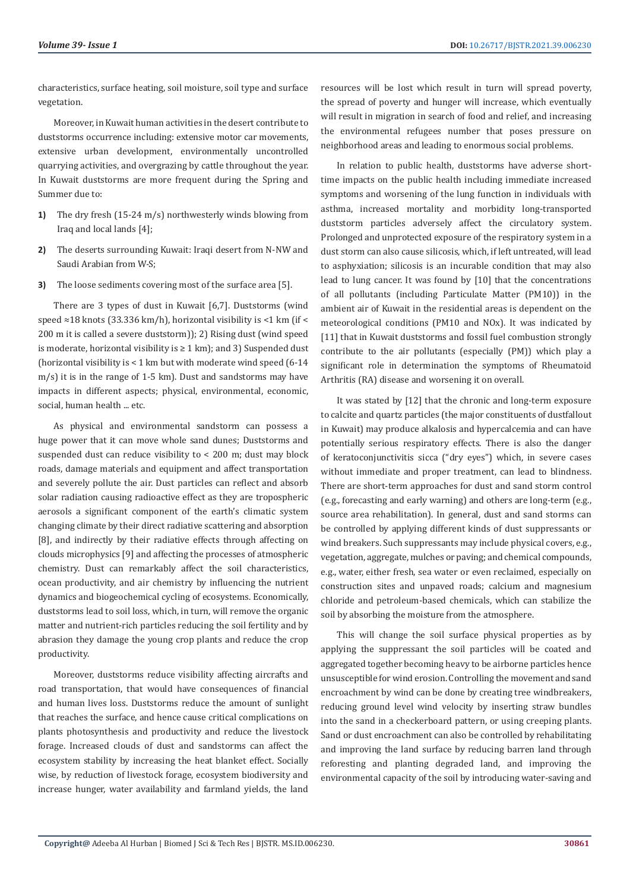characteristics, surface heating, soil moisture, soil type and surface vegetation.

Moreover, in Kuwait human activities in the desert contribute to duststorms occurrence including: extensive motor car movements, extensive urban development, environmentally uncontrolled quarrying activities, and overgrazing by cattle throughout the year. In Kuwait duststorms are more frequent during the Spring and Summer due to:

- **1)** The dry fresh (15-24 m/s) northwesterly winds blowing from Iraq and local lands [4];
- **2)** The deserts surrounding Kuwait: Iraqi desert from N-NW and Saudi Arabian from W-S;
- **3)** The loose sediments covering most of the surface area [5].

There are 3 types of dust in Kuwait [6,7]. Duststorms (wind speed ≈18 knots (33.336 km/h), horizontal visibility is <1 km (if < 200 m it is called a severe duststorm)); 2) Rising dust (wind speed is moderate, horizontal visibility is ≥ 1 km); and 3) Suspended dust (horizontal visibility is < 1 km but with moderate wind speed (6-14 m/s) it is in the range of 1-5 km). Dust and sandstorms may have impacts in different aspects; physical, environmental, economic, social, human health ... etc.

As physical and environmental sandstorm can possess a huge power that it can move whole sand dunes; Duststorms and suspended dust can reduce visibility to < 200 m; dust may block roads, damage materials and equipment and affect transportation and severely pollute the air. Dust particles can reflect and absorb solar radiation causing radioactive effect as they are tropospheric aerosols a significant component of the earth's climatic system changing climate by their direct radiative scattering and absorption [8], and indirectly by their radiative effects through affecting on clouds microphysics [9] and affecting the processes of atmospheric chemistry. Dust can remarkably affect the soil characteristics, ocean productivity, and air chemistry by influencing the nutrient dynamics and biogeochemical cycling of ecosystems. Economically, duststorms lead to soil loss, which, in turn, will remove the organic matter and nutrient-rich particles reducing the soil fertility and by abrasion they damage the young crop plants and reduce the crop productivity.

Moreover, duststorms reduce visibility affecting aircrafts and road transportation, that would have consequences of financial and human lives loss. Duststorms reduce the amount of sunlight that reaches the surface, and hence cause critical complications on plants photosynthesis and productivity and reduce the livestock forage. Increased clouds of dust and sandstorms can affect the ecosystem stability by increasing the heat blanket effect. Socially wise, by reduction of livestock forage, ecosystem biodiversity and increase hunger, water availability and farmland yields, the land

resources will be lost which result in turn will spread poverty, the spread of poverty and hunger will increase, which eventually will result in migration in search of food and relief, and increasing the environmental refugees number that poses pressure on neighborhood areas and leading to enormous social problems.

In relation to public health, duststorms have adverse shorttime impacts on the public health including immediate increased symptoms and worsening of the lung function in individuals with asthma, increased mortality and morbidity long-transported duststorm particles adversely affect the circulatory system. Prolonged and unprotected exposure of the respiratory system in a dust storm can also cause silicosis, which, if left untreated, will lead to asphyxiation; silicosis is an incurable condition that may also lead to lung cancer. It was found by [10] that the concentrations of all pollutants (including Particulate Matter (PM10)) in the ambient air of Kuwait in the residential areas is dependent on the meteorological conditions (PM10 and NOx). It was indicated by [11] that in Kuwait duststorms and fossil fuel combustion strongly contribute to the air pollutants (especially (PM)) which play a significant role in determination the symptoms of Rheumatoid Arthritis (RA) disease and worsening it on overall.

It was stated by [12] that the chronic and long-term exposure to calcite and quartz particles (the major constituents of dustfallout in Kuwait) may produce alkalosis and hypercalcemia and can have potentially serious respiratory effects. There is also the danger of keratoconjunctivitis sicca ("dry eyes") which, in severe cases without immediate and proper treatment, can lead to blindness. There are short-term approaches for dust and sand storm control (e.g., forecasting and early warning) and others are long-term (e.g., source area rehabilitation). In general, dust and sand storms can be controlled by applying different kinds of dust suppressants or wind breakers. Such suppressants may include physical covers, e.g., vegetation, aggregate, mulches or paving; and chemical compounds, e.g., water, either fresh, sea water or even reclaimed, especially on construction sites and unpaved roads; calcium and magnesium chloride and petroleum-based chemicals, which can stabilize the soil by absorbing the moisture from the atmosphere.

This will change the soil surface physical properties as by applying the suppressant the soil particles will be coated and aggregated together becoming heavy to be airborne particles hence unsusceptible for wind erosion. Controlling the movement and sand encroachment by wind can be done by creating tree windbreakers, reducing ground level wind velocity by inserting straw bundles into the sand in a checkerboard pattern, or using creeping plants. Sand or dust encroachment can also be controlled by rehabilitating and improving the land surface by reducing barren land through reforesting and planting degraded land, and improving the environmental capacity of the soil by introducing water-saving and